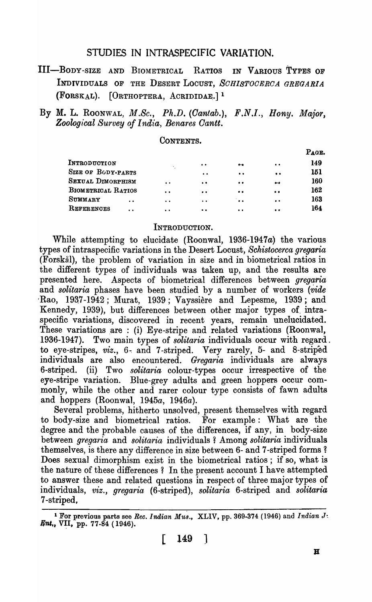### STUDIES IN INTRASPECIFIC VARIATION.

- III-BODY -SIZE AND BIOMETRICAL RATIOS IN VARIOUS TYPES OF INDIVIDUALS OF THE DESERT LOCUST, *SOHIBTOOEROA GREGARIA*  (FORSKAL).  $[ORTHOPTERA, AcRIDIDAE.]$ <sup>1</sup>
- By M. L. ROONWAL, *M.Sc., Ph.D. (Oantab.), F.N.I., Hony. Major, Zoologl:cal Survey of India, Benares Gantt.*

### CONTENTS.

|                           |                      |                                               |                                               |                  | Рдов. |
|---------------------------|----------------------|-----------------------------------------------|-----------------------------------------------|------------------|-------|
| INTRODUCTION              |                      | $\bullet\hspace{0.1cm} \bullet\hspace{0.1cm}$ | $\bullet\cdot\bullet$                         | $\bullet$        | 149   |
| <b>SIZE OF BODY-PARTS</b> |                      | $\bullet\hspace{0.1cm} \bullet\hspace{0.1cm}$ | $\bullet$                                     | $\bullet$        | 151   |
| SEXUAL DIMORPHISM         | $\bullet$            | $\bullet$                                     | $\bullet\bullet$                              | $\bullet\bullet$ | 160   |
| BIOMETRICAL RATIOS        | $\bullet$            | $\bullet\bullet$                              | $\bullet\bullet$                              | $\bullet$        | 162   |
| SUMMARY<br>$\cdot$        | $\ddot{\phantom{a}}$ | $\bullet\quad\bullet\quad$                    | $\sim$                                        | $\bullet\bullet$ | 163   |
| REFERENCES<br>$\bullet$   | $\bullet$            | $\bullet\bullet$                              | $\bullet\hspace{0.1cm} \bullet\hspace{0.1cm}$ | $\bullet$        | 164   |
|                           |                      |                                               |                                               |                  |       |

#### INTRODUCTION.

While attempting to elucidate (Roonwal, *1936-1947a)* the various types of intraspecific variations in the Desert Locust, *Schistocerca gregaria*  (Forskal), the problem of variation in size and in biometrical ratios in the different types of individuals was taken up, and the results are presented here. Aspects of biometrical differences between gregaria and *solitaria* phases have been studied by a number of workers *(vide*   $Rao$ , 1937-1942; Murat, 1939; Vayssière and Lepesme, 1939; and Kennedy, 1939), but differences between other major types of. intraspecific variations, discovered in recent years, remain unelucidated. These variations are: (i) Eye-stripe and related variations (Roonwal, 1936-1947). Two main types of *solitaria* individuals occur with regard. to eye-stripes, *viz.,* 6~ and 7 -striped. Very rarely, 5- and 8-striped individuals are also encountered. *Gregaria* individuals are always 6-striped. (ii) Two *solitaria* colour-types occur irrespective of the eye-stripe variation. Blue-grey adults and green hoppers occur commonly, while the other and rarer colour type consists of fawn adults and hoppers (Roonwal, *1945a, 1946a).* 

Several problems, hitherto unsolved, present themselves with regard to body-size and biometrical ratios. For example: What are the degree and the probable causes of the differences, if any, in body-size between *grega'ria* and *solitaria* individuals 1 Among *solitaria* individuals themselves, is there any difference in size between 6- and 7-striped forms? Does sexual dimorphism exist in the biometrical ratios; if so, what is the nature of these differences ? In the present account I have attempted to answer these and related questions in respect of three major types of individuals, *viz., gregaria* (6-striped), *solitaria* 6-striped and *solitaria*  7-striped,

<sup>&</sup>lt;sup>1</sup> For previous parts see *Rec. Indian Mus.*, XLIV, pp. 369-374 (1946) and *Indian J*.  $\mathit{Ent}_1$ , VII, pp. 77-84 (1946).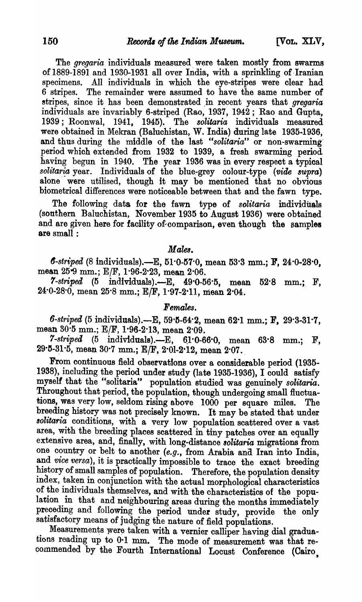The *gregaria* individuals measured. were taken mostly from swarms of 1889-1891 and 1930-1931 all over India, with a sprinkling of Iranian All individuals in which the eye-stripes were clear had 6 stripes. The remainder were assumed to have the same number of ~tripes, since it has been demonstrated In recent years that *gregaria*  individuals are invariably 6-striped (Rao, 1937, 1942; Rao and Gupta, 1939; Roonwal, 1941, 1945). The *solitaria* individuals measured were obtained in Mekran (Baluchistan, W. India) during late 1935-1936, and thus during the middle of the last *"solitaria"* or non-swarming· period which extended from 1932 to 1939, a fresh swarming period having begun in 1940. The year 1936 was in every respect a typical *solitaria* year. Individuals of the blue-grey colour-type *(vide supra)* alone were utilised, though it may be mentioned that no obvious biometrical differences were noticeable between that and the fawn type.

The following data for the fawn type of *solitaria* individuals (sonthern Baluchistan, November 1935 to August 1936) were obtained and are given here for facility of comparison, even though the samples are small :

### *Males.*

*6-striped* (8 individuals).-E, 51·0-157·0, mean 53·3 mm.; Jr, 24·0-28·0, mean 25.9 mm.; E/F, 1.96-2.23, mean 2.06.

 $7\text{-}striped$  (5 individuals).—E,  $49.0-56.5$ , mean  $52.8$  mm.; F, 24·0-28·0, mean 25·8 mm.; ElF, 1·97-2-11, mean 2-04.

### $F$ *emales*.

6-striped (5 individuals).-E, 59.5-64.2, mean 62.1 mm.; F, 29.3-31.7, mean 30.5 mm.; E/F, 1.96-2.13, mean 2.09.

*7-striped* (5 individuals).-E, 6J-O-66-0, mean 63-8 mm.; F,  $29.5-31.5$ , mean  $30.7$  mm.; E/F,  $2.01-2.12$ , mean  $2.07$ .

From continuous field observations over a considerable period (1935-1938), including the period under study (late 1935-1936), I could satisfy myself that the "solitaria" population studied was genuinely *solitaria.*  Throughout that period, the population, though undergoing small fluctuations, was very low, seldom rising above 1000 per square miles. The breeding history was not precisely known. It may be stated that under *80litaria* conditions, with a very low population scattered over a vast area, with the breeding places scattered in tiny patches over an equally extensive area, and, finally, with long-distance *80litaria* migrations from one country or belt to another (e.g., from Arabia and Iran into India, and *vice versa*), it is practically impossible to trace the exact breeding history of small samples of population. Therefore, the population density index, taken in conjunction with the actual morphological characteristics of the individuals themselves, and with the characteristics of the population in that and neighbouring areas during the months immediately preceding and following the period under study, provide the only satisfactory means of judging the nature of field populations.

Measurements were taken with a vernier calliper having dial graduations reading up to 0-1 mm. The mode of measurement was that recommended by the Fourth International Locust Conference (Cairo,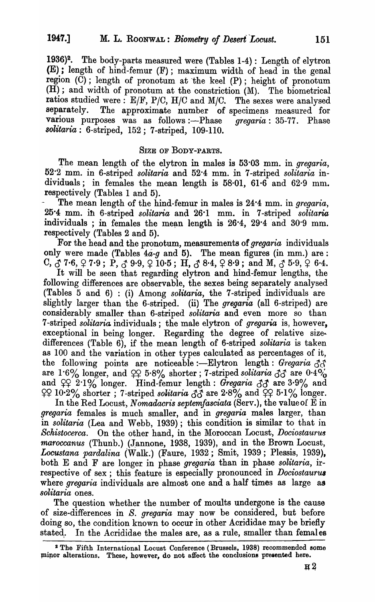1936)2. The body-parts measured were (Tables 1-4): Length of elytron (E); length of hind-femur (F); maximum width of head in the genal region  $(\check{C})$ ; length of pronotum at the keel  $(P)$ ; height of pronotum (H); and width of pronotum at the constriction (M). The biometrical ratios studied were:  $E/F$ ,  $P/C$ ,  $H/C$  and  $M/C$ . The sexes were analysed separately. The approximate number of specimens measured for The approximate number of specimens measured for various purposes was as follows :- Phase *gregaria*: 35-77. Phase *8olitaria:* 6-striped, 152; 7 -striped, 109-110.

### SIZE OF BODY-PARTS.

The mean length of the elytron in males is 53<sup>.</sup>03 mm. in *gregaria*, 52·2 mm. in 6-striped *solitaria* and 52·4 mm. in 7-striped *solitaria* individuals; in females the mean length is 58·01, 61·6 and 62·9 mm. respectively (Tables 1 and 5).

The mean length of the hind-femur in males is 24<sup>.4</sup> mm. in *gregaria*, 25·4 mm. ib 6-striped *solitaria* and 26·1 mm. in 7-striped *solitaria*  individuals; in females the mean length is  $26.4$ ,  $29.4$  and  $30.9$  mm. respectively (Tables 2 and 5).

For the head and the pronotum, measurements of *gregaria* individuals only were made (Tables  $4a-g$  and 5). The mean figures (in mm.) are: C,  $\check{C}$  7.6,  $\hat{C}$  7.9; P,  $\check{C}$  9.9,  $\hat{C}$  10.5; H,  $\check{C}$  8.4,  $\hat{C}$  8.9; and M,  $\check{C}$  5.9,  $\hat{C}$  6.4.

It will be seen that regarding elytron and hind-femur lengths, the following differences are observable, the sexes being separately analysed (Tables 5 and 6) : (i) Among *solitaria,* the 7 -striped individuals are slightly larger than the 6-striped. (ii) The *gregaria* (all 6-striped) are considerably smaller than 6-striped *solitaria* and even more so than 7 -striped *solitaria* individuals; the male elytron of *gregaria* is, however, exceptional in being longer. Regarding the degree of relative sizedifferences (Table 6), if the mean length of 6-striped *solitaria* is taken as 100 and the variation in other types calculated as percentages of it, the following points are noticeable :- Elytron length: *Gregaria*  $\Delta \mathcal{E}$ are 1.6% longer, and  $225.8%$  shorter; 7-striped solitaria  $33$  are  $0.4\%$ and  $^{c}Q$  2<sup>·1</sup>% longer. Hind-femur length: *Gregaria*  $^{c}G$  are 3·9% and  $~$  49 10·2% shorter; 7-striped *solitaria*  $~$  5 are 2·8% and  $~$  49 5·1% longer.

In the Red Locust, *Nomadacris septemfasciata* (Serv.), the value of E in *gregaria* females is much smaller, and in *gregaria* males larger, than in *solitaria* (Lea and Webb, 1939); this condition is similar to that in *Schistocerca.* On the other hand, in the Moroccan Locust, *Dociostaurus maroccanus* (Thunb.) (Jannone, 1938, 1939), and in the Brown Locust, *Loc'Ustana pa1'dalina* (Walle) (Faure, 1932; Smit, 1939; Plessis, 1939), both E and F are longer in phase *gregaria* than in phase *solitaria,* irrespective of sex; this feature is especially pronounced in *Dociostauru8*  where *gregaria* individuals are almost one and a half times as large as *solitaria* ones.

The question whether the number of moults undergone is the cause of size-differences in *S. gregaria* may now be considered, but before doing so, the condition known to occur in other Acrididae may be briefly stated. In the Acrididae the males are, as a rule, smaller than femal es

<sup>2</sup> The Fifth International Locust Conference (Brussels, 1938) recommended some minor alterations. These, however, do not affect the conclusions presented here.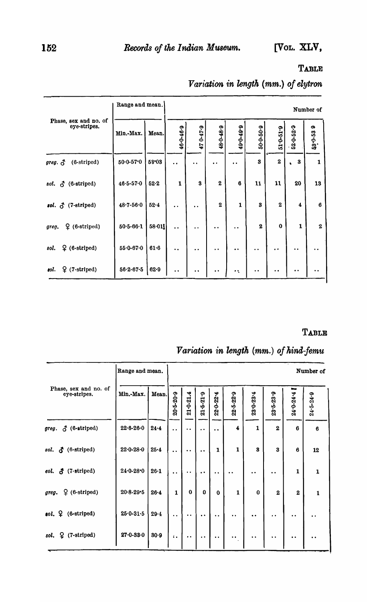### **TABLE**

Range and mean. Number of Phase, sex and no. of 53-0-539 eye-stripes. 52-0-52-9 46-0-46-9 470-47-9 48-0-48-9 49-0-49-9  $50 - 0 - 50 - 9$  $51.0 - 51.9$ Min.-Max. Mean.  $50 - 0.57 - 0$  $\bf 3$  $\bf 2$ greg.  $\vec{O}$  (6-striped)  $58 - 03$  $\sqrt{3}$  $\mathbf 1$  $\ddot{\phantom{0}}$  $\ddot{\phantom{a}}$  $\ddot{\phantom{a}}$  $\ddot{\phantom{0}}$  $46 - 5 - 57 - 0$ sol.  $\delta$  (6-striped)  $52.2$  $\mathbf 1$  $\bf 3$  $\bf 2$  $\bf{6}$  ${\bf 11}$  ${\bf 11}$  ${\bf 20}$  $\bf 13$  $sol. \n\delta$  (7-striped)  $48.7 - 56.0$  $52.4$  $\bf 2$  $\mathbf 1$  $\bf{3}$  $\bf 2$  $\overline{\mathbf{4}}$  $\bf{6}$  $\ddot{\phantom{a}}$  $\ddot{\phantom{a}}$  .  $\pmb{0}$  $9$  (6-striped)  $50.5 - 66.1$  $58.01$  $\bf 2$  $\mathbf 1$  $\bf 2$ greg.  $\ddot{\phantom{a}}$  $\ddot{\phantom{1}}$  .  $\ddot{\phantom{0}}$  $\ddot{\phantom{a}}$  $9$  (6-striped)  ${\bf 55{\cdot}0{\cdot}67{\cdot}0}$ sol.  $|61.6$  $\ddot{\phantom{1}}$  $\ddot{\phantom{1}}$  $\ddot{\phantom{0}}$  $\ddot{\phantom{1}}$  $\ddot{\phantom{1}}$  $\ddot{\phantom{0}}$  $\ddot{\phantom{0}}$  $\ddot{\phantom{1}}$  $\ell$ .  $\downarrow$  (7-striped)  $56.2 - 67.5$  82.9  $\ddot{\phantom{a}}$  $\ddot{\phantom{a}}$  $\ddot{\phantom{a}}$  $\ddot{\phantom{a}}$  :  $\ddot{\phantom{a}}$  $\ddot{\phantom{a}}$  $\ddot{\phantom{1}}$  $\ddot{\phantom{a}}$ 

## Variation in length (mm.) of elytron

### TABLE

# Variation in length (mm.) of hind-femu

|                                       | Range and mean. |          | Number of                  |                      |                      |                                              |                         |                   |                   |                      |                      |  |
|---------------------------------------|-----------------|----------|----------------------------|----------------------|----------------------|----------------------------------------------|-------------------------|-------------------|-------------------|----------------------|----------------------|--|
| Phase, sex and no. of<br>eye-stripes. | Min.-Max.       | Mean.    | $20 - 5 - 20 - 9$          | $21 - 0 - 21.4$      | $21 - 5 - 21 - 9$    | 22-0-22-4                                    | 22-5-22-9               | $23 - 0 - 23 - 4$ | $23 - 5 - 23 - 9$ | 24.0-24.4            | $24 - 5 - 24 - 9$    |  |
| $\delta$ (6-striped)<br>greg.         | $22.6 - 26.0$   | $24 - 4$ | $\ddot{\phantom{0}}$       | $\ddot{\phantom{a}}$ | $\ddot{\phantom{0}}$ | $\bullet$ $\bullet$                          | $\overline{\mathbf{4}}$ | $\mathbf{1}$      | $\mathbf{2}$      | 6                    | 6                    |  |
| sol. & (6-striped)                    | $22.0 - 28.0$   | $25 - 4$ | $\ddot{\phantom{0}}$       | $\ddot{\phantom{0}}$ | $\ddot{\phantom{a}}$ | $\mathbf{1}$                                 | $\mathbf{1}$            | 3                 | 3                 | 6                    | 12                   |  |
| $\delta$ (7-striped)<br>eol.          | $24.0 - 28.0$   | $26 - 1$ | $\ddot{\phantom{0}}$       | $\bullet$            | $\ddot{\phantom{a}}$ | $\ddot{\phantom{a}}$                         | $\bullet$               | $\bullet$         | $\bullet$         | $\mathbf{1}$         | $\mathbf{1}$         |  |
| $9$ (6-striped)<br>greg.              | $20.8 - 29.5$   | $26 - 4$ | 1                          | $\mathbf 0$          | $\bf{0}$             | $\bf{0}$                                     | $\mathbf{1}$            | $\bf{0}$          | $\overline{2}$    | $\overline{2}$       | $\mathbf{1}$         |  |
| $sol. \nsubseteq (6\text{-striped})$  | $25.0 - 31.5$   | 29.4     | $\ddot{\phantom{a}}$       | $\ddot{\phantom{0}}$ | $\bullet$            | $\ddot{\phantom{0}}$                         | $\bullet$               | $\bullet$         | $\bullet$         | $\ddot{\phantom{a}}$ | $\bullet\bullet$     |  |
| $\varphi$ (7-striped)<br>sol.         | $27.0 - 33.0$   | 30.9     | $\ddot{\bullet}$ $\bullet$ | $\bullet$            | $\ddot{\phantom{0}}$ | $\bullet\hspace{0.4mm}\bullet\hspace{0.4mm}$ | $\bullet$ $\bullet$     | $\bullet$         | $\cdot$           | $\ddot{\phantom{a}}$ | $\ddot{\phantom{a}}$ |  |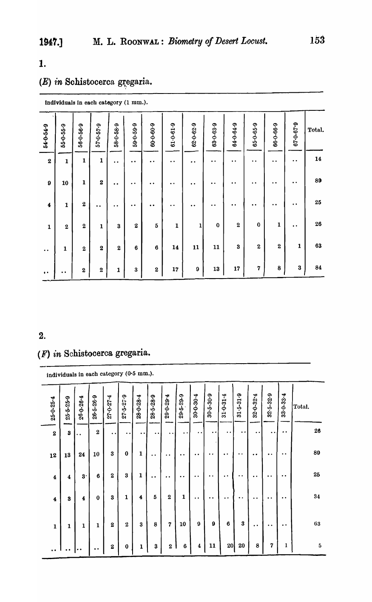# 1.

# $(E)$  in Schistocerca gregaria.

Individuals In each category (1 mm.).

| 54-0-54-9            | 55-0-55-9    | 56-0-56-9               | $57.0 - 57.9$    | $58 - 0 - 58 - 9$ | 59-0-59-9            | $60 - 0 - 60 - 9$   | $61 - 0 - 61 - 9$    | $62 - 0 - 62 - 9$ | $63 - 0 - 63 - 9$    | $64.0 - 64.9$        | $65 - 0 - 65 - 9$    | 66-0-66-9                                    | $67.0 - 67.9$    | Total.     |
|----------------------|--------------|-------------------------|------------------|-------------------|----------------------|---------------------|----------------------|-------------------|----------------------|----------------------|----------------------|----------------------------------------------|------------------|------------|
| $\bf 2$              | $\mathbf 1$  | $\mathbf 1$             | $\mathbf{1}$     | $\bullet\bullet$  | $\ddot{\phantom{0}}$ | $\bullet$ $\bullet$ | $\ddot{\phantom{0}}$ | . .               | $\bullet\;\bullet$   | $\ddot{\phantom{0}}$ | $\ddot{\phantom{0}}$ | $\bullet\hspace{0.4mm}\bullet\hspace{0.4mm}$ | $\bullet\bullet$ | ${\bf 14}$ |
| $\boldsymbol{9}$     | 10           | $\mathbf{1}$            | $\pmb{2}$        | $\cdot$ $\cdot$   | $\ddot{\phantom{0}}$ | $\ddot{\bullet}$    | $\bullet\bullet$     | $\bullet$         | $\ddot{\phantom{0}}$ | $\bullet\bullet$     | . .                  | $\bullet$                                    | $\bullet\bullet$ | 89         |
| $\ddot{\bullet}$     | 1            | $\boldsymbol{2}$        | $\bullet\bullet$ | $\cdot$ $\cdot$   | $\bullet$ $\bullet$  | $\bullet$ $\bullet$ | $\ddot{\phantom{0}}$ | $\bullet\bullet$  | $\cdot$ $\cdot$      | $\bullet\bullet$     | . .                  | $\bullet\;\bullet$                           | $\bullet$        | 25         |
| $\mathbf{1}$         | $\bf 2$      | $\overline{\mathbf{2}}$ | $\mathbf{1}$     | $\bf{3}$          | $\boldsymbol{2}$     | $\mathbf 5$         | 1                    | 1                 | $\bf{0}$             | $\mathbf 2$          | $\bf{0}$             | 1                                            | $\bullet\bullet$ | ${\bf 26}$ |
| $\ddot{\phantom{0}}$ | $\mathbf{1}$ | $\overline{\mathbf{2}}$ | $\boldsymbol{2}$ | $\bf 2$           | $\bf{6}$             | $\bf 6$             | 14                   | 11                | 11                   | $\bf{3}$             | $\boldsymbol{2}$     | $\boldsymbol{2}$                             | 1                | 63         |
| $\bullet$ $\bullet$  | $\bullet$    | $\boldsymbol{2}$        | $\bf 2$          | $\mathbf 1$       | $\bf 3$              | $\bf 2$             | 17                   | $\boldsymbol{9}$  | ${\bf 13}$           | 17                   | 7                    | 8                                            | $\bf{3}$         | 84         |

### 2.

# (F) *in* Schistocerca gregaria.

individuals in each category (0·5 mm.).

| $25 - 0 - 25 - 4$       | 25-5-25-9            | $26.0 - 26.4$        | $26 - 5 - 26 - 9$ | $27 - 0 - 27 - 4$   | $27 - 5 - 27 - 9$    | $28 - 0 - 28 - 4$ | 28-5-28-9            | $29 - 0 - 29 - 4$    | $29 - 5 - 29 - 9$    | $30 - 0 - 30 - 4$    | $30 - 5 - 30 - 9$ | $31 - 0 - 31 - 4$    | $31 - 5 - 31 - 9$                        | $32.0 - 32.4$        | $32.5 - 32.9$           | $33.0 - 33.4$       | Total.          |
|-------------------------|----------------------|----------------------|-------------------|---------------------|----------------------|-------------------|----------------------|----------------------|----------------------|----------------------|-------------------|----------------------|------------------------------------------|----------------------|-------------------------|---------------------|-----------------|
| $\boldsymbol{2}$        | 3                    | . .                  | $\boldsymbol{2}$  | $\bullet$ $\bullet$ | $\ddot{\phantom{0}}$ | $\cdot$ $\cdot$   | $\ddot{\phantom{0}}$ | $\bullet$            | $\ddot{\phantom{0}}$ | $\cdot$ $\cdot$      | $\bullet$         | $\bullet$            | $\cdot$ $\cdot$                          | $\cdot$              | $\cdot$ $\cdot$         | . .                 | $26\phantom{.}$ |
| 12                      | 13                   | 24                   | 10                | 3                   | $\bf{0}$             | 1                 | $\ddot{\phantom{0}}$ | $\ddot{\phantom{a}}$ | $\cdot$ $\cdot$      | $\bullet$            | $\bullet$         | $\ddot{\phantom{0}}$ | . .                                      | $\bullet$            | $\bullet\,\bullet$      | $\bullet$ $\bullet$ | 89              |
| $\boldsymbol{4}$        | 4                    | $3 -$                | 6                 | $\boldsymbol{2}$    | $\bf 3$              | 1                 | $\cdot$ $\cdot$      | $\cdot$ $\cdot$      | $\ddot{\phantom{a}}$ | $\bullet\bullet$     | $\bullet$         | $\cdot$ $\cdot$      | $\bullet\hspace{1mm}\bullet\hspace{1mm}$ | $\bullet$            | $\bullet\bullet$        | $\bullet$           | 25              |
| $\overline{\mathbf{4}}$ | 3                    | 4                    | $\bf{0}$          | 3                   | 1                    | 4                 | 5                    | $\boldsymbol{2}$     | 1                    | $\ddot{\phantom{1}}$ | $\bullet\bullet$  | $\ddot{\phantom{0}}$ | $\bullet\,\bullet$                       | $\ddot{\phantom{0}}$ | $\bullet\ \bullet$      | $\bullet\bullet$    | 34              |
| $\mathbf{1}$            | 1                    | 1                    | $\mathbf{1}$      | 2                   | $\boldsymbol{2}$     | 3                 | 8                    | 7                    | 10                   | 9                    | 9                 | $\boldsymbol{6}$     | $\bf{3}$                                 | $\bullet$            | $\cdot \cdot$           | $\cdot$ $\cdot$     | 63              |
| $\ddot{\phantom{0}}$    | $\ddot{\phantom{0}}$ | $\ddot{\phantom{0}}$ | $\bullet\bullet$  | $\bf{2}$            | $\bf{0}$             | 1                 | $\bf{3}$             | $\bf 2$              | $6\phantom{1}6$      | 4                    | 11                | 20                   | $20\,$                                   | 8                    | $\overline{\mathbf{7}}$ | $\mathbf{1}$        | $\bf 5$         |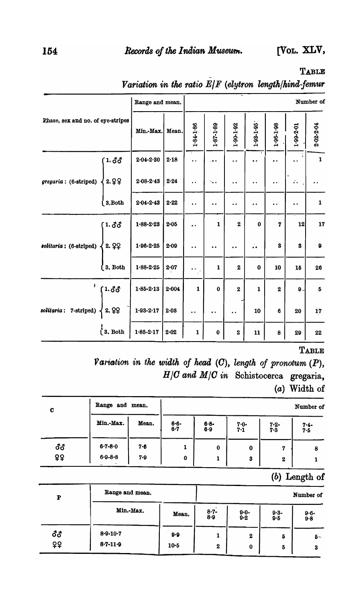[Vol. XLV,

TABLE

|                                   | Range and mean.   |           |                      |                      |                      |                      |                      |                      | Number of    |
|-----------------------------------|-------------------|-----------|----------------------|----------------------|----------------------|----------------------|----------------------|----------------------|--------------|
| Phase, sex and no. of eye-stripes | Min.-Max.         | Mean.     | $1.84 - 1.86$        | 1.87-1.89            | $1.90 - 1.92$        | $1.93 - 1.95$        | $1.96 - 1.98$        | $1.99 - 2.01$        | 2-02-2-04    |
| 1.33                              | $2.04 - 2.30$     | $2 - 18$  | $\cdot$              | .                    | $\ddot{\phantom{0}}$ |                      | $\bullet$            | $\ddot{\phantom{a}}$ | $\mathbf 1$  |
| 2.99<br>gregaria: (6-striped)     | $2.08 - 2.43$     | 2.24      | $\ddot{\phantom{0}}$ | $^{\prime}$ .        | $\bullet$            | $\cdot$ .            | $\ddot{\phantom{0}}$ | $\ddot{\cdot}$ .     |              |
| 3, Both                           | $2.04 - 2.43$     | 2.22      | . .                  | $\ddot{\phantom{0}}$ | . .                  | $\ddot{\phantom{0}}$ | $\ddot{\phantom{0}}$ | $\ddot{\phantom{a}}$ | $\mathbf{1}$ |
| 1.33                              | $1.88 - 2.23$     | 2.05      | . .                  | $\mathbf{1}$         | $\mathbf{2}$         | $\bf{0}$             | 7                    | 12                   | 17           |
| 2.99<br>solitaria: (6-striped)    | $1.96 - 2.25$     | 2.09      | $\ddot{\phantom{0}}$ | $\ddot{\phantom{0}}$ | $\ddot{\phantom{0}}$ | $\ddot{\cdot}$       | 3                    | $\bf{3}$             | $\mathbf{Q}$ |
| 3. Both                           | $1 - 88 - 2 - 25$ | $2 - 07$  | . .                  | $\mathbf{1}$         | $\boldsymbol{2}$     | $\bf{0}$             | 10                   | 15                   | 26           |
| 1.33                              | $1.85 - 2.13$     | $2 - 004$ | $\mathbf{1}$         | $\bf{0}$             | $\boldsymbol{2}$     | $\mathbf{1}$         | $\boldsymbol{2}$     | 9.                   | $\bf 5$      |
| 2.99<br>7-striped)<br>solitaria:  | $1.93 - 2.17$     | $2 - 0.8$ |                      |                      | $\cdot$              | 10                   | 6                    | 20                   | 17           |
| $\int$ 3. Both                    | $1.85 - 2.17$     | $2 - 02$  | $\mathbf{1}$         | $\bf{0}$             | $\pmb{2}$            | 11                   | 8                    | 29                   | 22           |

Variation in the ratio  $E/F$  (elytron length/hind-femur

**TABLE** 

Variation in the width of head  $(C)$ , length of pronotum  $(P)$ ,  $H/C$  and  $M/C$  in Schistocerca gregaria, (a) Width of

| C         | Range and mean. |         | Number of        |                  |                |                  |                      |  |  |  |  |
|-----------|-----------------|---------|------------------|------------------|----------------|------------------|----------------------|--|--|--|--|
|           | Min.-Max.       | Mean.   | $6 - 6 -$<br>6.7 | $6 - 8 -$<br>6.9 | $7.0 -$<br>7.1 | $7.2 -$<br>7.3   | $7 - 4 -$<br>$7 - 5$ |  |  |  |  |
| <b>đđ</b> | $6 - 7 - 8 - 0$ | $7 - 6$ |                  | 0                | 0              | 7                | 8                    |  |  |  |  |
| ¥\$       | $6 - 8 - 8$     | 7.9     | $\bf{0}$         |                  | 3              | $\boldsymbol{2}$ |                      |  |  |  |  |

## (b) Length of

| P         | Range and mean.                      |               | Number of             |                              |                  |                      |  |  |  |  |
|-----------|--------------------------------------|---------------|-----------------------|------------------------------|------------------|----------------------|--|--|--|--|
|           | Min.-Max.                            | Mean.         | $8 - 7 -$<br>8.9      | $9.0 -$<br>9.2               | $9 - 3 -$<br>9.5 | $9 - 6 -$<br>$9 - 8$ |  |  |  |  |
| ර්ර<br>99 | $8 - 9 - 10 - 7$<br>$8 - 7 - 11 - 9$ | 9.9<br>$10-5$ | ı<br>$\boldsymbol{2}$ | $\boldsymbol{2}$<br>$\bf{0}$ | 5<br>5           | 5-<br>3              |  |  |  |  |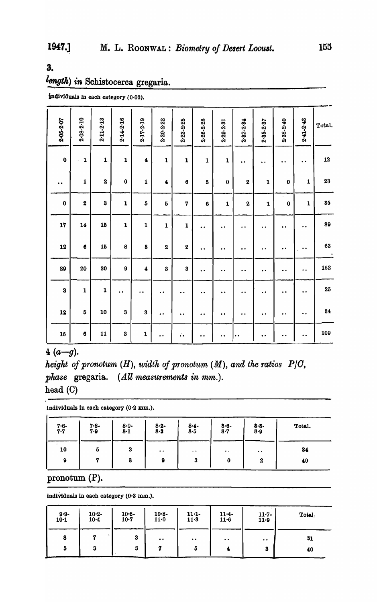3.

# length) in Schistocerca gregaria.

individuals in each category (0.03).

| 2-05-2-07        | $2.08 - 2.10$           | $2.11 - 2.13$           | $2 - 14 - 2 - 16$    | 2.17-2-19            | $2.20 - 2.22$        | $2.23 - 2.25$        | 2-26-2-28            | $2 - 29 - 2 - 31$    | $2.32 - 2.34$           | $2.35 - 2.37$        | $2.38 - 2.40$        | $2 - 41 - 2 - 43$    | Total.                     |
|------------------|-------------------------|-------------------------|----------------------|----------------------|----------------------|----------------------|----------------------|----------------------|-------------------------|----------------------|----------------------|----------------------|----------------------------|
| $\boldsymbol{0}$ | $\mathbf{1}$<br>$\cdot$ | $\mathbf{1}$ .          | $\mathbf{1}$         | $\pmb{4}$            | $\mathbf 1$          | $\mathbf{1}$         | $\mathbf{1}$         | $\mathbf{1}$         | $\ddot{\phantom{0}}$    | $\ddot{\phantom{0}}$ | $\ddot{\phantom{0}}$ | $\ddot{\phantom{0}}$ | 12                         |
| $\bullet$        | 1                       | $\overline{\mathbf{2}}$ | $\bf{0}$             | $\mathbf{1}$         | $\pmb{4}$            | $\bf{6}$             | 5                    | $\bf{0}$             | $\boldsymbol{2}$        | 1                    | $\pmb{0}$            | 1                    | 23                         |
| $\bf{0}$         | $\overline{\mathbf{2}}$ | $\bf{3}$                | $\mathbf 1$          | $\bf{5}$             | $\boldsymbol{5}$     | $\overline{7}$       | $\pmb{6}$            | $\mathbf{1}$         | $\overline{\mathbf{2}}$ | $\mathbf{1}$         | $\mathbf 0$          | $\mathbf{1}$         | 35                         |
| 17               | 14                      | 15                      | $\mathbf 1$          | $\mathbf{1}$         | $\mathbf{1}$         | $\mathbf{1}$         | $\bullet$ $\bullet$  | $\ddot{\phantom{0}}$ | $\cdot$ $\cdot$         | $\bullet$ $\bullet$  | $\ddot{\phantom{0}}$ | $\ddot{\phantom{0}}$ | 89                         |
| 12               | $\bullet$               | 15                      | 8                    | $\bf{3}$             | $\bf{2}$             | $\boldsymbol{2}$     | $\bullet\; \bullet$  | $\bullet$            | $\ddot{\phantom{0}}$    | $\ddot{\phantom{a}}$ | $\bullet$            | . .                  | 63<br>$\ddot{\phantom{0}}$ |
| 29               | 20                      | 30                      | $\pmb{9}$            | $\pmb{4}$            | $\bf{3}$             | $\bf{3}$             | $\ddot{\phantom{0}}$ | $\bullet$            | $\ddot{\phantom{0}}$    | $\bullet$ $\bullet$  | $\bullet$            | ٠.                   | 152                        |
| $\bf{3}$         | $\mathbf 1$             | $\mathbf 1$             | $\ddot{\phantom{0}}$ | $\ddot{\phantom{0}}$ | $\ddot{\phantom{a}}$ | $\ddot{\phantom{0}}$ | $\ddot{\phantom{0}}$ | $\ddot{\phantom{0}}$ | $\ddot{\phantom{0}}$    | $\ddot{\phantom{0}}$ | $\ddot{\phantom{0}}$ | $\ddot{\phantom{0}}$ | ${\bf 25}$                 |
| 12               | $\boldsymbol{5}$        | 10                      | $\bf{3}$             | $\bf{3}$             | $\ddot{\phantom{0}}$ | $\bullet$ $\bullet$  | $\ddot{\phantom{0}}$ | $\bullet$            | $\ddot{\phantom{0}}$    | $\ddot{\phantom{0}}$ | $\bullet\bullet$     | $\ddot{\phantom{0}}$ | 84                         |
| 15               | $\pmb{6}$               | 11                      | $\bf{3}$             | $\mathbf 1$          | $\ddot{\phantom{0}}$ | $\ddot{\cdot}$       | $\bullet$            | $\ddot{\phantom{1}}$ | $\cdot$ $\cdot$         | $\bullet\; \bullet$  | $\ddot{\phantom{0}}$ | $\ddot{\phantom{0}}$ | 109                        |

 $4(a-q).$ 

height of pronotum  $(H)$ , width of pronotum  $(M)$ , and the ratios  $P/C$ , phase gregaria. (All measurements in mm.). head (C)

individuals in each category (0.2 mm.).

| $7.6 - 7.7$  | $7 - 8 -$<br>7.9 | $8 - 0 -$<br>$8-1$ | $8 - 2 -$<br>$8-3$                           | $8 - 4 -$<br>8·5 | $8.6 - 8.7$                                  | $8 - 8 -$<br>8.9 | Total. |
|--------------|------------------|--------------------|----------------------------------------------|------------------|----------------------------------------------|------------------|--------|
| 10           | 5                | 3                  | $\bullet\hspace{0.4mm}\bullet\hspace{0.4mm}$ | $\cdot$ $\cdot$  | $\bullet\hspace{0.4mm}\bullet\hspace{0.4mm}$ | $\cdot$ .        | 84     |
| $\mathbf{Q}$ |                  | 3                  | 9                                            | 3                | 0                                            | $\boldsymbol{2}$ | 40     |

pronotum  $(P)$ .

individuals in each category (0.3 mm.).

| $9.9 - 10.1$ | $10 - 2 -$<br>$10 - 4$ | $10 - 5 -$<br>$10-7$ | $10 - 8 -$<br>11.0  | $11 - 1$<br>$11-3$ | $11.4 -$<br>$11 - 6$ | $11 - 7 -$<br>$11-9$ | Total. |
|--------------|------------------------|----------------------|---------------------|--------------------|----------------------|----------------------|--------|
| 8            |                        | 3                    | $\bullet\; \bullet$ | $\bullet\bullet$   | $\cdot \cdot$        | $\bullet\bullet$     | 31     |
| Ð            | 3                      | 3                    |                     | w                  |                      | 3                    | 40     |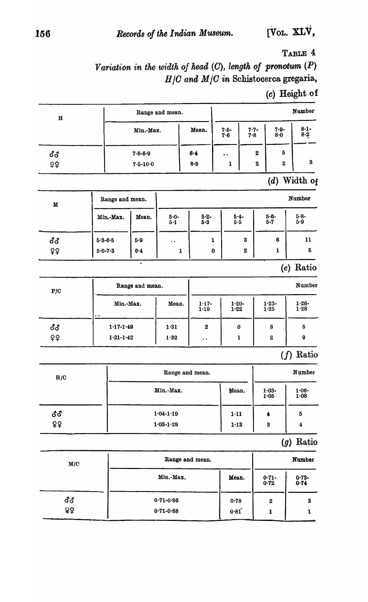TABLE 4

Variation in the width of head  $(C)$ , length of pronotum  $(P)$  $H/C$  and  $M/C$  in Schistocerca gregaria,

# $(c)$  Height of

| $\, {\bf H}$ |                 |                 | Range and mean. |                      |                      |             |                               | Number           |
|--------------|-----------------|-----------------|-----------------|----------------------|----------------------|-------------|-------------------------------|------------------|
|              |                 | Min.-Max.       |                 | Mean.                | $7.5 -$<br>7.6       | $7.7 - 7.8$ | $7.9 -$<br>8.0                | $8 - 1 -$<br>8.2 |
| ර්ර          |                 | $7.8 - 8.9$     |                 | $8 - 4$              | $\ddot{\phantom{0}}$ |             | 5<br>$\boldsymbol{2}$         |                  |
| ♀            |                 | $7.5 - 10.0$    |                 | 8.9                  | $\mathbf{1}$         |             | $\boldsymbol{2}$<br>$\pmb{2}$ | ${\bf 3}$        |
|              |                 |                 |                 |                      |                      |             | (d)                           | Width of         |
| $\mathbf M$  | Range and mean. |                 |                 |                      |                      |             |                               | Number           |
|              | Min.-Max.       | Mean.           | $5.0 -$<br>5.1  | $5 - 2 -$<br>5.3     | 5.5                  | $5.4 -$     | $5.6 -$<br>5.7                | $5 - 8 -$<br>5.9 |
| <b>්</b> ර   | $5 - 3 - 6 - 5$ | 5.9             | . .             |                      | 1                    | $\bf{3}$    | 6                             | 11               |
| ¥₿           | $5.0 - 7.3$     | $6 - 4$         | 1               |                      | $\bf{0}$             | 2           | $\mathbf{1}$                  | 5                |
|              |                 | $\blacksquare$  |                 |                      |                      |             |                               | (e) Ratio        |
| P/C          |                 | Range and mean. |                 |                      |                      |             |                               | Number           |
|              |                 | Min.-Max.       |                 | $1.17 -$<br>1.19     | $1.20 -$<br>1.22     |             | $1.23 -$<br>1.25              | $1.26 -$<br>1.28 |
| ර්ර          | $1.17 - 1.49$   |                 | 1.31            | $\boldsymbol{2}$     |                      | 0           | $\bf{3}$                      | 5                |
| ₽₽           | $1.21 - 1.42$   |                 | 1.32            | $\ddot{\phantom{a}}$ |                      | 1           | 2                             | $\pmb{9}$        |
|              |                 |                 |                 |                      |                      |             |                               | Ratio<br>(f)     |
| H/C          |                 |                 |                 | Range and mean.      |                      |             |                               | Number           |
|              |                 |                 | Min.-Max.       |                      | Mean.                |             | $1.03 -$<br>1.05              | $1.06 -$<br>1.08 |
| <b>đổ</b>    |                 |                 | $1.04 - 1.19$   |                      | 1.11                 |             | $\overline{\mathbf{4}}$       | 5                |
| ¥¥           |                 | $1.03 - 1.29$   |                 |                      | $1 - 13$             |             | $\bf{3}$                      | 4                |
|              |                 |                 |                 |                      |                      |             |                               | $(g)$ Ratio      |
| M/C          |                 |                 |                 | Range and mean.      |                      |             |                               | Number           |
|              |                 | Min.-Max.       |                 |                      | Mean.                |             | $0.71 -$<br>0.72              | $0.73 -$<br>0.74 |
| ර්ර          |                 |                 | $0.71 - 0.86$   |                      | 0.78                 |             | $\pmb{2}$                     | 3                |
| 99           |                 |                 | $0.71 - 0.88$   |                      | 0.81                 |             | 1                             | 1                |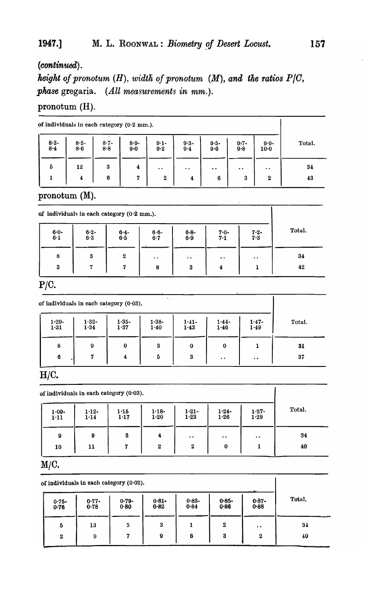# 1947.] M. L. ROONWAL: *Biometry of Desert Locust*. **157**

# *(continued) .*

*height of pronotum (H), width of pronotum (M), and the ratios P|C, phase* gregaria. *(All measurements in mm.).* 

## pronotum (H).

|             | of individuals in each category $(0.2 \text{ mm.})$ . |                  |                    |                      |                         |                 |                      |                      |        |  |  |
|-------------|-------------------------------------------------------|------------------|--------------------|----------------------|-------------------------|-----------------|----------------------|----------------------|--------|--|--|
| $8.3 - 8.4$ | $8 - 5 -$<br>8.6                                      | $8 - 7 -$<br>8.8 | $8.9 -$<br>$9 - 0$ | $9 - 1 -$<br>$9 - 2$ | $9.3 -$<br>$9-4$        | $9.5 -$<br>9.6  | $\frac{9:7}{9:8}$    | $9.9 -$<br>$10 - 0$  | Total. |  |  |
| 5           | 12                                                    | 3                | 4                  | $\bullet$            | $\ddot{\phantom{a}}$    | $\cdot$ $\cdot$ | $\ddot{\phantom{0}}$ | $\ddot{\phantom{a}}$ | 34     |  |  |
|             | 4                                                     | 6                | 7                  | $\boldsymbol{2}$     | $\overline{\mathbf{4}}$ | 6               | 3                    | $\boldsymbol{2}$     | 43     |  |  |

pronotum (M).

|                  | of individuals in each category $(0.2 \text{ mm.})$ . |                  |                 |                  |                      |                      |        |
|------------------|-------------------------------------------------------|------------------|-----------------|------------------|----------------------|----------------------|--------|
| $6 - 0 -$<br>6·1 | $6 - 2 -$<br>6.3                                      | $6.4 - 6.5$      | $6.6-$<br>$6-7$ | $6 - 8 -$<br>6.9 | $7.0 - 7.1$          | $7.2 -$<br>$7 - 3$   | Total. |
| 8                | 3                                                     | $\boldsymbol{2}$ | $\cdot$ $\cdot$ | $\bullet$ .      | $\ddot{\phantom{0}}$ | $\ddot{\phantom{a}}$ | 34     |
| 3                | 7                                                     | 7                | 8               | 3                | 4                    |                      | 42     |

## $P/C$ .

| $1.29 -$<br>1.31 | $1.32 -$<br>1.34 | $1.35 -$<br>1.37        | $1.38 -$<br>1.40 | $1.41 -$<br>1.43 | $1.44 -$<br>1.46 | $1.47 -$<br>1.49     | Total. |
|------------------|------------------|-------------------------|------------------|------------------|------------------|----------------------|--------|
| 8                | 9                | $\bf{0}$                | 3                | $\bf{0}$         | $\bf{0}$         |                      | 31     |
| 6                | 7                | $\overline{\mathbf{4}}$ | 5                | 3                | $\bullet$ .      | $\ddot{\phantom{0}}$ | 37     |

## *H/C.*

|                  |                  | of individuals in each category $(0.03)$ . |                      |                      |                                 |                    |        |
|------------------|------------------|--------------------------------------------|----------------------|----------------------|---------------------------------|--------------------|--------|
| $1.09 -$<br>1.11 | $1.12 -$<br>1.14 | 1.15<br>1.17                               | $1.18 -$<br>$1 - 20$ | $1.21 -$<br>1.23     | $\frac{1 \cdot 24}{1 \cdot 26}$ | $1.27 -$<br>1.29   | Total. |
| 9                | 9                | 3                                          | 4                    | $\ddot{\phantom{a}}$ | $\bullet\bullet$                | $\bullet\;\bullet$ | 34     |
| 10               | 11               | 7                                          | $\mathbf{2}$         | $\boldsymbol{2}$     | $\bf{0}$                        | 1                  | 40     |

# *M/C.*

|                  | of individuals in each category (0.02). |                  |                  |                  |                  |                  |        |  |  |  |
|------------------|-----------------------------------------|------------------|------------------|------------------|------------------|------------------|--------|--|--|--|
| $0.75 -$<br>0.76 | $0.77 -$<br>0.78                        | $0.79 -$<br>0.80 | $0.81 -$<br>0.82 | $0.83 -$<br>0.84 | $0.85 -$<br>0.86 | $0.87 -$<br>0.88 | Total. |  |  |  |
| 5                | 13                                      | 5                | 3                |                  | $\boldsymbol{2}$ | $\bullet$        | 34     |  |  |  |
| $\mathbf{2}$     | 9                                       | 7                | 9                | 6                | 3                | $\boldsymbol{2}$ | 40     |  |  |  |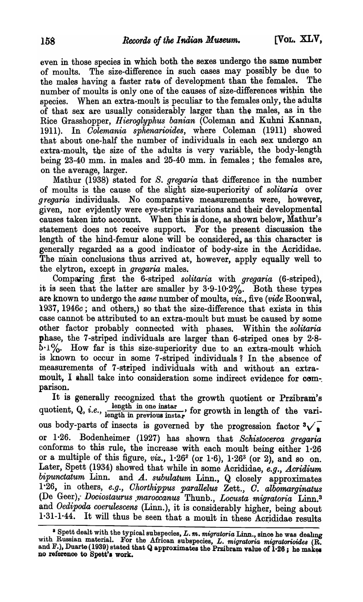even in those species in which both. the sexes undergo the same number of moults. The size-difference in such cases may possibly be due to the males having a faster rats of development than the females. The number of moults is only one of the causes of size-differences within the species. When an extra-moult is peculiar to the females only, the adults of that sex are usually considerably larger than the males, as in the Rice Grasshopper, *Hieroglyphus banian* (Coleman and Kuhni Kannan, 1911). In *Oolemania sphenarioides,* where Coleman (1911) showed that about one-half the number of individuals in each sex undergo an extra-moult, the size of the adults is very variable, the body-length being 23-40 mm. in males and 25-40 mm. in females; the females are, on the average, larger.

Mathur (1938) stated for *S. gregaria* that difference in the number of moults is the cause of the slight size-superiority of *solitaria* over *gregaria* individuals. No comparative measurements were, however, given, nor evidently were eye-stripe variations and their developmental causes taken into account. When this is done, as shown below, Mathur's statement does not receive support. For the present discussion the length of the hind-femur alone will be considered, as this character is generally regarded as a good indicator of body-size in the Acrididae. The main conclusions thus arrived at, however, apply equally well to the elytron, except in *gregaria* males.

Comparing .first the 6-striped *solitaria* with *gregaria* (6-striped), it is seen that the latter are smaller by  $3.9-10.2\%$ . Both these types are known to undergo the *same* number of moults, *viz.,* five *(vide* Roonwal, 1937, *1946c;* and others,) so that the size-difference that exists in this case cannot be attributed to an extra-moult but must be caused by some other factor probably connected with phases. Within the *solitaria*  phase, the 7 -striped individuals are larger than 6-striped ones by 2·8-  $5.1\%$ . How far is this size-superiority due to an extra-moult which is known to occur in some 7-striped individuals? In the absence of measurements of 7-striped individuals with and without an extramoult, I shall take into consideration some indirect evidence for com-. parison.

It is generally recognized that the growth quotient or Przibram's quotient, Q, *i.e.*, length in one instar, for growth in length of the various body-parts of insects is governed by the progression factor  $\sqrt[3]{\cdot}$ or 1·26. Bodenheimer (1927) has shown that *Schistocerca gregaria*  conforms to this rule, the increase with each moult being either 1.26 or a multiple of this figure,  $viz.$ ,  $1.26^2$  (or  $1.6$ ),  $1.26^3$  (or 2), and so on. Later, Spett (1934) showed that while in some Acrididae, *e.g., Acridium*  bipunctatum Linn. and *A. subulatum Linn.*, Q closely approximates 1<sup>.26</sup>, in others, *e.g., Chorthippus parallelus Zett., C. albomarginatus* (De Geer); Doc~ostaurus *,rnaroccanus* Thunb., *Locusta migratoria* Linn.3 and *Oedipoda coerulescens* (Linn.), it is considerably higher, being about  $1.31-1.44$ . It will thus be seen that a moult in these Acrididae results

<sup>&</sup>lt;sup>8</sup> Spett dealt with the typical subspecies, L. m. *migratoria* Linn., since he was dealing WIth RUSSIan matenal. For the African subspecies, L. *migratoria migratorioides* (R. and  $F_$ ), Duarte (1939) stated that Q approximates the Przibram value of  $1.26$ ; he makes no reference to Spett's work. The management of the state of 1 20, no make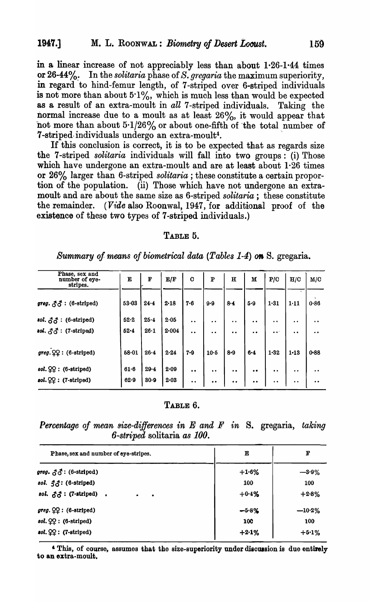in a linear increase of not appreciably less than about 1·26-1·44 times or 26-44%. In the *solitaria* phase of *S. gregaria* the maximum superiority, in regard 'to hind-femur length, of 7-striped over 6-striped individuals is not more than about  $5.1\%$ , which is much less than would be expected as a result of an extra-moult in *all* 7-striped individuals. Taking the normal increase due to a moult as at least 26%, it would appear that not more than about  $5.1/26\%$  or about one-fifth of the total number of 7-striped individuals undergo an extra-moult<sup>4</sup>.

If this conclusion is correct, it is to be expected that as regards size the 7 -striped *solitaria* individuals will fall into two groups: (i) Those which have undergone an extra-moult and are at least about 1.26 times or 26% larger than 6-striped *solitaria* ; these constitute a certain proportion of the population. (ii) Those which have not undergone an extramoult and are about the same size as 6-striped *solitaria;* these constitute the remainder. (Vide also Roonwal, 1947, for additional proof of the existence of these two types of 7-striped individuals.)

#### TABLE 5.

| Phase, sex and<br>number of eye-<br>stripes.                   | Е     | F        | E/F       | $\mathbf C$          | ${\bf P}$ | $\bf H$              | M                    | P/C                           | H/C                  | M/C               |
|----------------------------------------------------------------|-------|----------|-----------|----------------------|-----------|----------------------|----------------------|-------------------------------|----------------------|-------------------|
| $\textit{greg. } \mathcal{S} \mathcal{S} : (6\text{-striped})$ | 53.03 | 24.4     | $2 - 18$  | $7 - 6$              | 9.9       | 8.4                  | 5.9                  | 1.31                          | $1 - 11$             | $\lambda$<br>0.86 |
| $sol. \partial \mathcal{L} : (6\text{-striped})$               | 52.2  | 25.4     | 2.05      | $\bullet$            | . .       | $\bullet\bullet$     | $\ddot{\phantom{a}}$ | $\bullet$                     | $\ddot{\phantom{0}}$ | $\bullet$         |
| $sol. \partial^2$ : (7-striped)                                | 52.4  | $26 - 1$ | $2 - 004$ | $\ddot{\phantom{0}}$ | $\bullet$ | $\ddot{\phantom{0}}$ | $\bullet$            | $\bullet$ $\bullet$ $\degree$ | $\ddot{\phantom{0}}$ | $\bullet$         |
| $\textit{greg.} \mathcal{QQ} : (6\text{-striped})$             | 58.01 | 26.4     | 2.24      | $7 - 9$              | $10-5$    | $8 - 9$              | $6 - 4$              | 1.32                          | $1 - 13$             | $0 - 88$          |
| $sol.$ $QQ$ : (6-striped)                                      | 61.6  | 29.4     | 2.09      | $\bullet$            | $\bullet$ | $\bullet$            | $\bullet$            | $\bullet$                     | $\bullet$            | $\bullet$         |
| $sol. \mathcal{QQ}: (7\text{-striped})$                        | 62.9  | 30.9     | $2 - 03$  | $\bullet\bullet$     | $\bullet$ | $\bullet$ $\bullet$  | $\bullet$            | $\bullet\bullet$              | $\bullet$            | $\bullet\bullet$  |

*Summary of means of biometrical data (Tables 1-4) on S. gregaria.* 

#### TABLE 6.

Percentage of mean size-differences in *E* and *F* in S. gregaria, *taking* 6 .. *striped* solitaria *as 100.* 

| Phase, sex and number of eye-stripes.                         | E          | F         |
|---------------------------------------------------------------|------------|-----------|
| $\textit{greg. } \mathcal{F}\mathcal{F} : (6\text{-striped})$ | $+1.6%$    | $-3.9%$   |
| sol. $\mathfrak{Z}$ $\mathfrak{Z}$ : (6-striped)              | 100        | 100       |
| sol. $\partial \mathcal{S}$ : (7-striped).<br>$\bullet$<br>٠  | $+0.4%$    | $+2.8%$   |
| $\textit{greg.} \mathcal{QQ}$ : (6-striped)                   | $-5.8%$    | $-10.2\%$ |
| $sol. \mathcal{QQ}: (6\text{-striped})$                       | <b>100</b> | 100       |
| $sol. \mathcal{QQ}: (7\text{-striped})$                       | $+2.1%$    | $+5.1%$   |

<sup>4</sup> This, of course, assumes that the size-superiority under discussion is due entirely to an extra-moult.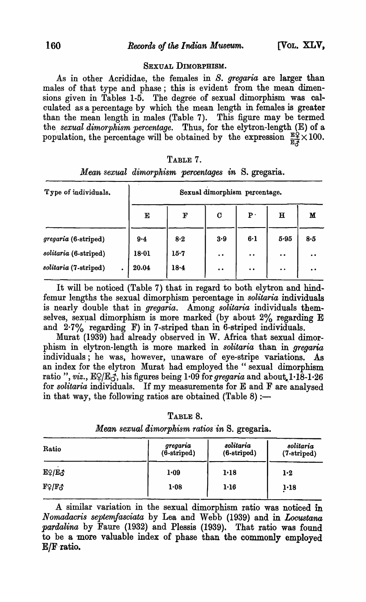### SEXUAL DIMORPHISM.

As in other Acrididae, the females in *S. gregaria* are larger than males of that type and phase; this is evident from the mean dimensions given in Tables 1-5. The degree of sexual dimorphism was calculated as a percentage by which the mean length in females is greater than the mean length in males (Table 7). This figure may be termed the. *sexual dimorphism percentage.* Thus, for the elytron-Iength (E) of a population, the percentage will be obtained by the expression  $\frac{E\hat{Q}}{E\hat{A}} \times 100$ .

| TABLE 7 |  |
|---------|--|
|---------|--|

| Type of individuals.  |         | Sexual dimorphism percentage. |                     |                                          |                                          |                     |  |  |  |  |  |
|-----------------------|---------|-------------------------------|---------------------|------------------------------------------|------------------------------------------|---------------------|--|--|--|--|--|
|                       | Е       | $\mathbf{F}$                  | $\mathbf C$         | $\mathbf{P}$ .                           | $\bf H$                                  | M                   |  |  |  |  |  |
| gregaria (6-striped)  | $9 - 4$ | 8.2                           | 3.9                 | 6·1                                      | 5.95                                     | 8.5                 |  |  |  |  |  |
| solitaria (6-striped) | 18.01   | 15.7                          | $\bullet$ $\bullet$ | $\bullet$ $\bullet$                      | $\bullet\hspace{1mm}\bullet\hspace{1mm}$ | $\bullet$ $\bullet$ |  |  |  |  |  |
| solitaria (7-striped) | 20.04   | 18.4                          | $\bullet\; \bullet$ | $\bullet\hspace{1mm}\bullet\hspace{1mm}$ | $\bullet$                                | $\bullet\;\bullet$  |  |  |  |  |  |

| Mean sexual dimorphism percentages in S. gregaria. |  |  |  |
|----------------------------------------------------|--|--|--|
|                                                    |  |  |  |

It will be noticed (Table 7) that in regard to both elytron and hindfemur lengths the sexual dimorphism percentage in *solitaria* individuals is nearly double that in *gregaria.* Among *solitaria* individuals themselves, sexual dimorphism is more marked (by about 2% regarding E and  $2.7\%$  regarding F) in 7-striped than in 6-striped individuals.

Murat (1939) had already observed in W. Africa that sexual dimorphism in elytron-length is more marked in *solitaria* than in *gregaria* individuals; he was, however, unaware of eye-stripe variations. As an index for the elytron Murat had employed the "sexual dimorphism ratio ", *viz.*,  $EQ/E_A$ , his figures being  $1.09$  for *gregaria* and about.  $1.18-1.26$ for *solitaria* individuals. If my measurements for E and F are analysed in that way, the following ratios are obtained (Table 8) :-

| Table 8. |  |
|----------|--|
|----------|--|

| Ratio                                             | gregaria<br>$(6\text{-stringed})$ | solitaria<br>(6-striped) | solitaria<br>(7-striped) |  |
|---------------------------------------------------|-----------------------------------|--------------------------|--------------------------|--|
| EQ/EJ                                             | 1.09                              | $1 - 18$                 | 1.2                      |  |
| $\mathbf{F} \mathfrak{S}/\mathbf{F} \mathfrak{F}$ | 1.08                              | 1.16                     | $1 - 18$                 |  |

*Mean sexual dimorphism ratios 'in* S. gregaria.

A similar variation in the sexual dimorphism ratio was noticed in *Nomadacris septemfasciata* by Lea and Webb (1939) and in *Locustana pardalina* by Faure (1932) and Plessis (1939). That ratio was found to be a more valuable index of phase than the commonly employed  $E/F$  ratio.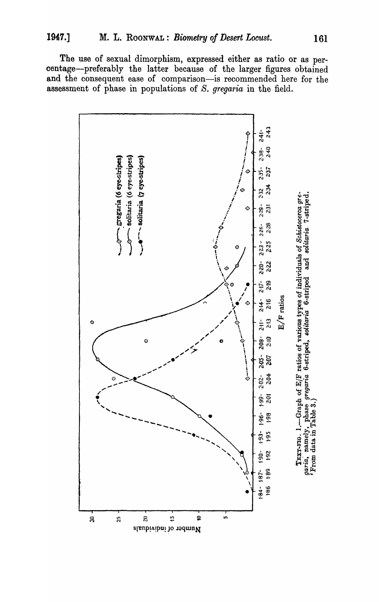The use of sexual dimorphism, expressed either as ratio or as percentage-preferably the latter because of the larger figures obtained and the consequent ease of comparison-is recommended here for the assessment of phase in populations of S. gregaria in the field.

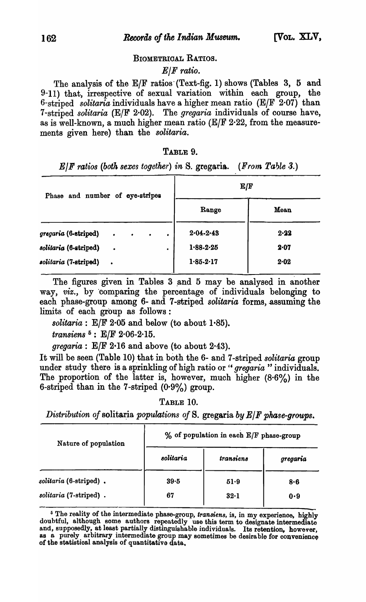### BIOMETRIOAL RATIOS.

### *ElF ratio.*

The analysis of the  $E/F$  ratios (Text-fig. 1) shows (Tables 3, 5 and 9-11) that, irrespective of sexual variation within each group, the 6-striped *solitaria* individuals have a higher mean ratio (ElF 2·07) than 7 -striped *solitaria* (ElF 2'02). The *gregaria* individuals of course have, as is well-known, a much higher mean ratio ( $E/F$  2·22, from the measurements given here) than the *solitaria.* 

### TABLE 9.

*ElF ratios (both sexes together) in S. gregaria. (From Table 3.)* 

| Phase and number of eye-stripes |           |                               |           | ${\bf E}/{\bf F}$ |          |  |
|---------------------------------|-----------|-------------------------------|-----------|-------------------|----------|--|
|                                 |           |                               |           | Range             | Mean     |  |
| gregaria (6-striped)            |           | $\bullet$ $\bullet$ $\bullet$ | $\bullet$ | $2.04 - 2.43$     | 2.22     |  |
| solitaria (6-striped)           | $\bullet$ |                               | ٠         | $1 - 88 - 2 - 25$ | $2 - 07$ |  |
| solitaria (7-striped)           | $\bullet$ |                               |           | $1.85 - 2.17$     | $2 - 02$ |  |

The figures given in Tables 3 and 5 may be analysed in another way, *viz.,* by 'comparing the percentage of individuals belonging to each phase-group among 6- and 7-striped *solitaria* forms, assuming the limits of each group as follows:

*solitaria*:  $E/F 2.05$  and below (to about 1.85).

*transiens* 5: EfF 2·06-2·15.

*gregaria:* ElF 2·16 and above (to about 2'43).

It will be seen (Table 10) that in both the 6- and 7-striped *solitaria* group under study there is a sprinkling of high ratio or " *gregaria* " individuals. The proportion of the latter is, however, much higher (8.6%) in the 6-striped than in the 7-striped  $(0.9\%)$  group.

TABLE 10.

*Distribution of solitaria populations of S. gregaria by E/F phase-groups.* 

| Nature of population   | % of population in each E/F phase-group |           |                |  |
|------------------------|-----------------------------------------|-----------|----------------|--|
|                        | solitaria                               | transiens | gregaria       |  |
| solitaria (6-striped). | $39 - 5$                                | 51.9      | 8.6            |  |
| solitaria (7-striped). | 67                                      | $32-1$    | $\mathbf{0.9}$ |  |

<sup>&</sup>lt;sup>5</sup> The reality of the intermediate phase-group, *transiens*, is, in my experience, highly doubtful, although some authors repeatedly use this term to designate intermediate and, supposedly, at least partially distinguishable individuals. Its retention, however, as a purely arbitrary intermediate group may sometimes be desirable for convenience of the statistioal analysis of quantitativo data.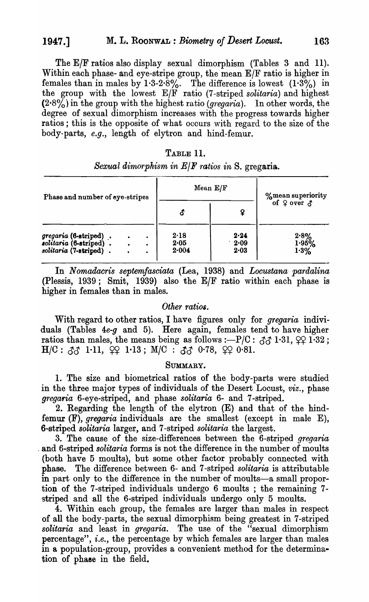The E/F ratios also display sexual dimorphism (Tables 3 and 11). Within each phase- and eye-stripe group, the mean E/F ratio is higher in females than in males by  $1.3-2.8\%$ . The difference is lowest  $(1.3\%)$  in the group with the lowest *ElF* ratio (7 -striped *solitaria)* and highest  $(2.8\%)$  in the group with the highest ratio *(gregaria)*. In other words, the degree of sexual dimorphism increases with the progress towards higher ratios; this is the opposite of what occurs with regard to the size of the body-parts, *e.g.,* length of elytron and hind-femur.

### TABLE 11.

| Phase and number of eye-stripes                                           |           |                             | Mean E/F              |                             | %mean superiority         |
|---------------------------------------------------------------------------|-----------|-----------------------------|-----------------------|-----------------------------|---------------------------|
|                                                                           |           |                             | ¥                     | of $\varphi$ over $\varphi$ |                           |
| gregaria (6-striped).<br>solitaria (6-striped).<br>solitaria (7-striped). | $\bullet$ | $\bullet$<br>$\bullet$<br>٠ | 2.18<br>2.05<br>2.004 | 2.24<br>2.09<br>2.03        | $2.8%$<br>$1.95%$<br>1.3% |

### *Sexual dimorphism in ElF ratios in* S. gregaria.

In *Nomadacris septemfasciata* (Lea, 1938) and *Locustana· pardalina*  (Plessis, 1939; Smit, 1939) also the *ElF* ratio within each phase is higher in females than in males.

### *Other ratios.*

With regard to other ratios, I have figures only for *gregaria* individuals (Tables *4e-g* and 5). Here again, females tend to have higher ratios than males, the means being as follows :-P/C:  $\delta\delta$  1.31,  $\varphi$  1.32;  $H/C: \, 33$  1·11,  $\, \Omega$  1·13;  $M/C: \, 33$  0·78,  $\, \Omega$  0·81.

#### SUMMARY.

1. The size and biometrical ratios of the body-parts were studied in the three major types of individuals of the Desert Locust, *viz.,* phase *gregaria* 6-eye-striped, and phase *solitaria* 6- and 7 -striped.

2. Regarding the length of the elytron (E) and that of the hindfemur (F), *gregaria* individuals are the smallest (except in male E), 6-striped *solitaria* larger, and 7 -striped *solitaria* the largest.

3. The cause of the size-differences between the 6-striped *gregaria*  . and 6-striped *solitaria* forms is not the difference in the number of moults (both have 5 moults), but some other factor probably connected with phase. The difference between 6- and 7 -striped *solitaria* is attributable in part only to the difference in the number of moults-a small proportion of the 7 -striped individuals undergo 6 moults ; the remaining 7 striped and all the 6-striped individuals undergo only 5 moults.

4. Within each group, the females are larger than males in respect of all the body-parts, the sexual dimorphism being greatest in 7-striped *solitaria* and least in *gregaria.* The use of the "sexual dimorphism percentage", *i.e.*, the percentage by which females are larger than males in a population-group, provides a convenient method for the determination of phase in the field.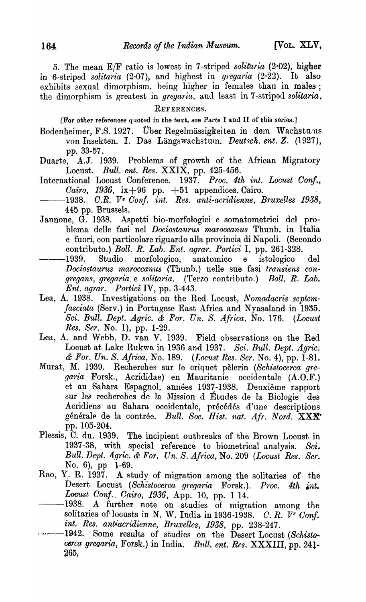5. The mean *ElF* ratio is lowest in 7 -striped *solitaria* (2·02), higher in 6-striped *solitaria* (2.07), and highest in *gregaria* (2.22). It also exhibits sexual dimorphism, being higher in females than in males; the dimorphism is greatest in *gregaria,* and least in 7 -striped *solitaria.* 

REFERENCES.

[For other references quoted in the text, see Parts I and II of this series.]

- Bodenheimer, F.S. 1927. Über Regelmässigkeiten in dem Wachstums von Insekten. I. Das Längswachstum. *Deutsch. ent. Z.* (1927), pp. 33-57.<br>Duarte. A.J. 19
- A.J. 1939. Problems of growth of the African Migratory Locust. *Bull. ent. Res.* XXIX, pp. 425-456 ..
- International Locust Conference. 1937. Proc. 4th int. Locust Conf., *Cairo, 1936,* ix +96 pp. +51 appendices. Cairo.
- **1938.** C.R. Ve Conf. int. Res. anti-acridienne, Bruxelles 1938, 445 pp. Brussels.
- Jannone, G. 1938. Aspetti bio-morfologici e somatometrici del problema delle fasi nel *Dociostaurus maroccanus* Thunb. in Italia e fuori, con particolare riguardo alla provincia di Napoli. (Secondo contributo.) *Boll. R. Lab. Ent. agrar. Portici* I, pp. 261-328.
- -1939. Studio morfologico, anatomico e istologico del *Dociostaurus maroccanus* (Thunb.) nelle sue fasi *transiens congregans, gregaria* e *solitaria.* (Terzo contributo.) *Boll. R. Lab. Ent. agrar. Portici IV, pp. 3-443.*
- Lea, A. 1938. Investigations on the Red Locust, *Nomadacris septemfasciata* (Serv.) in Portugese East Africa and Nyasaland in 1935. *Sci. Bull. Dept. Agric.* & *For. Un. S. Africa,* No. 176. *(Locust Res. Ser. No. 1*), pp. 1-29.
- Lea, A. and Webb, D. van V. 1939. Field observations on the Red Locust at Lake Rukwa in 1936 and 1937. *Sci. Bull. Dept. Agric.* & *For. Un. S. Africa,* No. 189. *(I,ocust Res. Sere No.4),* pp. 1-81.
- Murat, M. 1939. Recherches sur le criquet pèlerin *(Schistocerca gregaria* . Forsk., Acrididae) en Mauritanie occidentale (A.O.F.) et au Sahara Espagnol, annees 1937-1938. Deuxieme rapport sur les recherches de la Mission d Études de la Biologie des Acridiens au Sahara occidentale, précédés d'une descriptions générale de la contrée. *Bull. Soc. Hist. nat. Afr. Nord.* XXX<sup>\*</sup> pp. 105-204.
- Plessis, C. du. 1939. The incipient outbreaks of the Brown Locust in 1937-38, with special reference to biometrical analysis. *Sci. Bull. Dept. 4gric.* & *For. Un. S. Africa,* No. 209 *(Locust Res. Sere*  No. 6), pp 1-69.<br>Rao, Y. R. 1937. A st
- A study of migration among the solitaries of the Desert Locust *(Schistocerca gregaria Forsk.). Proc. 4th int. Locust Conf. Cairo, 1936, App. 10, pp. 1 14.*<br>1938. A further note on studies of migra-
- A further note on studies of migration among the solitaries of locusts in N. W. India in 1936-1938. C. R.  $V^e$  Conf. *int. Res. antiacridienne, Bruxelles, 1938, pp. 238-247.*<br>-1942. Some results of studies on the Desert Locus:
- Some results of studies on the Desert Locust *(Schistocerca gregaria, Forsk.)* in India. *Bull. ent. Res.* XXXIII, pp. 241-265.